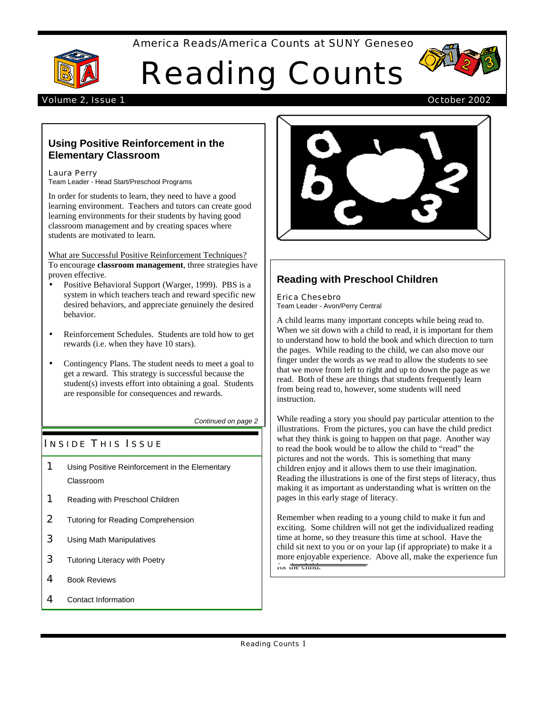## America Reads/America Counts at SUNY Geneseo



# Reading Counts



## Volume 2, Issue 1 October 2002

# **Using Positive Reinforcement in the Elementary Classroom**

## Laura Perry

Team Leader - Head Start/Preschool Programs

In order for students to learn, they need to have a good learning environment. Teachers and tutors can create good learning environments for their students by having good classroom management and by creating spaces where students are motivated to learn.

What are Successful Positive Reinforcement Techniques? To encourage **classroom management**, three strategies have proven effective.

- Positive Behavioral Support (Warger, 1999). PBS is a system in which teachers teach and reward specific new desired behaviors, and appreciate genuinely the desired behavior.
- Reinforcement Schedules. Students are told how to get rewards (i.e. when they have 10 stars).
- Contingency Plans. The student needs to meet a goal to get a reward. This strategy is successful because the student(s) invests effort into obtaining a goal. Students are responsible for consequences and rewards.

*Continued on page 2*

# **INSIDE THIS ISSUE**

- **1** Using Positive Reinforcement in the Elementary Classroom
- **1** Reading with Preschool Children
- 2 Tutoring for Reading Comprehension
- 3 Using Math Manipulatives
- **3** Tutoring Literacy with Poetry
- 4 Book Reviews
- 4 Contact Information



# **Reading with Preschool Children**

#### Erica Chesebro

Team Leader - Avon/Perry Central

A child learns many important concepts while being read to. When we sit down with a child to read, it is important for them to understand how to hold the book and which direction to turn the pages. While reading to the child, we can also move our finger under the words as we read to allow the students to see that we move from left to right and up to down the page as we read. Both of these are things that students frequently learn from being read to, however, some students will need instruction.

While reading a story you should pay particular attention to the illustrations. From the pictures, you can have the child predict what they think is going to happen on that page. Another way to read the book would be to allow the child to "read" the pictures and not the words. This is something that many children enjoy and it allows them to use their imagination. Reading the illustrations is one of the first steps of literacy, thus making it as important as understanding what is written on the pages in this early stage of literacy.

Remember when reading to a young child to make it fun and exciting. Some children will not get the individualized reading time at home, so they treasure this time at school. Have the child sit next to you or on your lap (if appropriate) to make it a more enjoyable experience. Above all, make the experience fun for the child.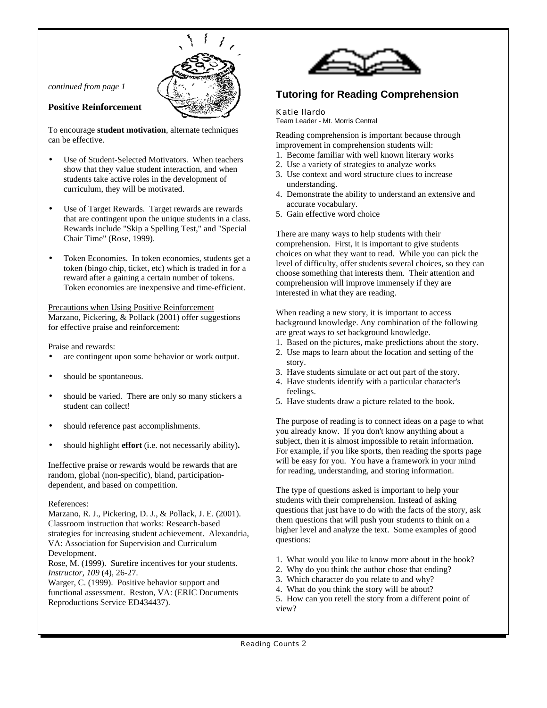*continued from page 1*



## **Positive Reinforcement**

To encourage **student motivation**, alternate techniques can be effective.

- Use of Student-Selected Motivators. When teachers show that they value student interaction, and when students take active roles in the development of curriculum, they will be motivated.
- Use of Target Rewards. Target rewards are rewards that are contingent upon the unique students in a class. Rewards include "Skip a Spelling Test," and "Special Chair Time" (Rose, 1999).
- Token Economies. In token economies, students get a token (bingo chip, ticket, etc) which is traded in for a reward after a gaining a certain number of tokens. Token economies are inexpensive and time-efficient.

Precautions when Using Positive Reinforcement Marzano, Pickering, & Pollack (2001) offer suggestions for effective praise and reinforcement:

Praise and rewards:

- are contingent upon some behavior or work output.
- should be spontaneous.
- should be varied. There are only so many stickers a student can collect!
- should reference past accomplishments.
- should highlight **effort** (i.e. not necessarily ability)**.**

Ineffective praise or rewards would be rewards that are random, global (non-specific), bland, participationdependent, and based on competition.

#### References:

Marzano, R. J., Pickering, D. J., & Pollack, J. E. (2001). Classroom instruction that works: Research-based strategies for increasing student achievement. Alexandria, VA: Association for Supervision and Curriculum Development. Rose, M. (1999). Surefire incentives for your students. *Instructor, 109* (4), 26-27. Warger, C. (1999). Positive behavior support and

functional assessment. Reston, VA: (ERIC Documents Reproductions Service ED434437).



# **Tutoring for Reading Comprehension**

## Katie Ilardo

Team Leader - Mt. Morris Central

Reading comprehension is important because through improvement in comprehension students will:

- 1. Become familiar with well known literary works
- 2. Use a variety of strategies to analyze works
- 3. Use context and word structure clues to increase understanding.
- 4. Demonstrate the ability to understand an extensive and accurate vocabulary.
- 5. Gain effective word choice

There are many ways to help students with their comprehension. First, it is important to give students choices on what they want to read. While you can pick the level of difficulty, offer students several choices, so they can choose something that interests them. Their attention and comprehension will improve immensely if they are interested in what they are reading.

When reading a new story, it is important to access background knowledge. Any combination of the following are great ways to set background knowledge.

- 1. Based on the pictures, make predictions about the story.
- 2. Use maps to learn about the location and setting of the story.
- 3. Have students simulate or act out part of the story.
- 4. Have students identify with a particular character's feelings.
- 5. Have students draw a picture related to the book.

The purpose of reading is to connect ideas on a page to what you already know. If you don't know anything about a subject, then it is almost impossible to retain information. For example, if you like sports, then reading the sports page will be easy for you. You have a framework in your mind for reading, understanding, and storing information.

The type of questions asked is important to help your students with their comprehension. Instead of asking questions that just have to do with the facts of the story, ask them questions that will push your students to think on a higher level and analyze the text. Some examples of good questions:

- 1. What would you like to know more about in the book?
- 2. Why do you think the author chose that ending?
- 3. Which character do you relate to and why?
- 4. What do you think the story will be about?

5. How can you retell the story from a different point of view?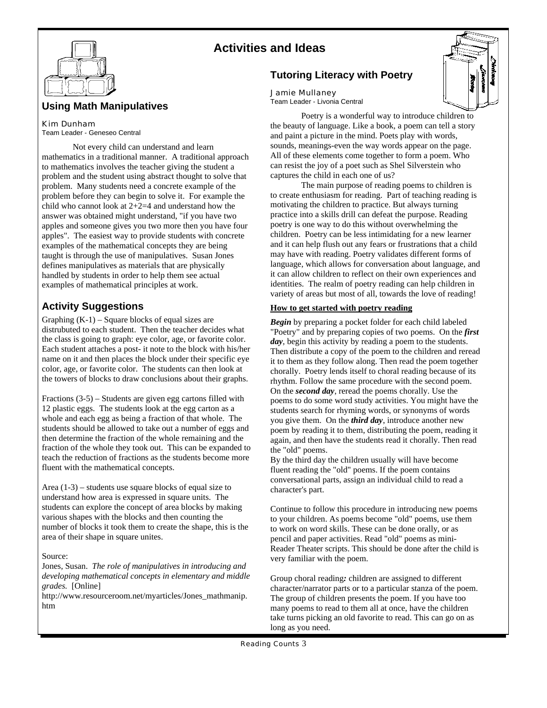



# **Using Math Manipulatives**

## Kim Dunham

Team Leader - Geneseo Central

Not every child can understand and learn mathematics in a traditional manner. A traditional approach to mathematics involves the teacher giving the student a problem and the student using abstract thought to solve that problem. Many students need a concrete example of the problem before they can begin to solve it. For example the child who cannot look at 2+2=4 and understand how the answer was obtained might understand, "if you have two apples and someone gives you two more then you have four apples". The easiest way to provide students with concrete examples of the mathematical concepts they are being taught is through the use of manipulatives. Susan Jones defines manipulatives as materials that are physically handled by students in order to help them see actual examples of mathematical principles at work.

# **Activity Suggestions**

Graphing  $(K-1)$  – Square blocks of equal sizes are distrubuted to each student. Then the teacher decides what the class is going to graph: eye color, age, or favorite color. Each student attaches a post- it note to the block with his/her name on it and then places the block under their specific eye color, age, or favorite color. The students can then look at the towers of blocks to draw conclusions about their graphs.

Fractions (3-5) – Students are given egg cartons filled with 12 plastic eggs. The students look at the egg carton as a whole and each egg as being a fraction of that whole. The students should be allowed to take out a number of eggs and then determine the fraction of the whole remaining and the fraction of the whole they took out. This can be expanded to teach the reduction of fractions as the students become more fluent with the mathematical concepts.

Area (1-3) – students use square blocks of equal size to understand how area is expressed in square units. The students can explore the concept of area blocks by making various shapes with the blocks and then counting the number of blocks it took them to create the shape, this is the area of their shape in square unites.

Source:

Jones, Susan. *The role of manipulatives in introducing and developing mathematical concepts in elementary and middle grades.* [Online]

http://www.resourceroom.net/myarticles/Jones\_mathmanip. htm

# **Tutoring Literacy with Poetry**

## Jamie Mullaney

Team Leader - Livonia Central

Poetry is a wonderful way to introduce children to the beauty of language. Like a book, a poem can tell a story and paint a picture in the mind. Poets play with words, sounds, meanings-even the way words appear on the page. All of these elements come together to form a poem. Who can resist the joy of a poet such as Shel Silverstein who captures the child in each one of us?

The main purpose of reading poems to children is to create enthusiasm for reading. Part of teaching reading is motivating the children to practice. But always turning practice into a skills drill can defeat the purpose. Reading poetry is one way to do this without overwhelming the children. Poetry can be less intimidating for a new learner and it can help flush out any fears or frustrations that a child may have with reading. Poetry validates different forms of language, which allows for conversation about language, and it can allow children to reflect on their own experiences and identities. The realm of poetry reading can help children in variety of areas but most of all, towards the love of reading!

## **How to get started with poetry reading**

*Begin* by preparing a pocket folder for each child labeled "Poetry" and by preparing copies of two poems. On the *first* day, begin this activity by reading a poem to the students. Then distribute a copy of the poem to the children and reread it to them as they follow along. Then read the poem together chorally. Poetry lends itself to choral reading because of its rhythm. Follow the same procedure with the second poem. On the *second day*, reread the poems chorally. Use the poems to do some word study activities. You might have the students search for rhyming words, or synonyms of words you give them. On the *third day*, introduce another new poem by reading it to them, distributing the poem, reading it again, and then have the students read it chorally. Then read the "old" poems.

By the third day the children usually will have become fluent reading the "old" poems. If the poem contains conversational parts, assign an individual child to read a character's part.

Continue to follow this procedure in introducing new poems to your children. As poems become "old" poems, use them to work on word skills. These can be done orally, or as pencil and paper activities. Read "old" poems as mini-Reader Theater scripts. This should be done after the child is very familiar with the poem.

Group choral reading*:* children are assigned to different character/narrator parts or to a particular stanza of the poem. The group of children presents the poem. If you have too many poems to read to them all at once, have the children take turns picking an old favorite to read. This can go on as long as you need.

Reading Counts 3